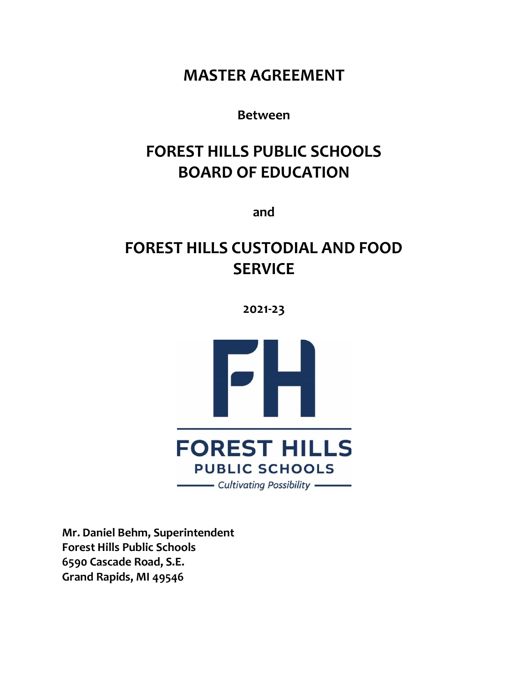# **MASTER AGREEMENT**

# **Between**

# **FOREST HILLS PUBLIC SCHOOLS BOARD OF EDUCATION**

**and**

# **FOREST HILLS CUSTODIAL AND FOOD SERVICE**

**2021-23**



**Mr. Daniel Behm, Superintendent Forest Hills Public Schools 6590 Cascade Road, S.E. Grand Rapids, MI 49546**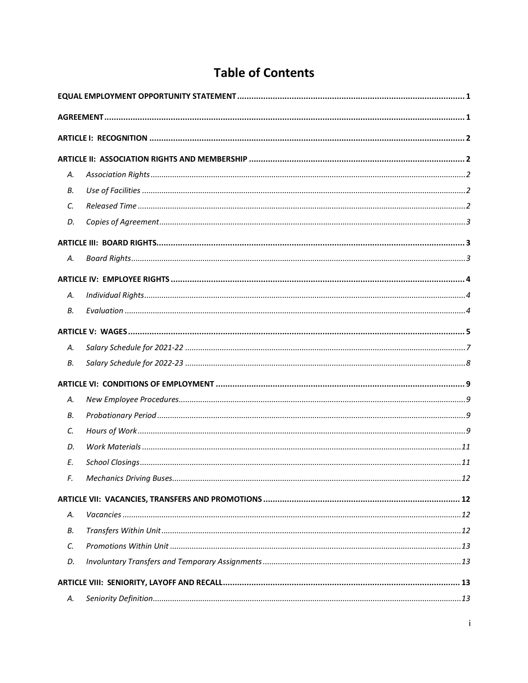# **Table of Contents**

| А. |  |  |  |  |
|----|--|--|--|--|
| В. |  |  |  |  |
| C. |  |  |  |  |
| D. |  |  |  |  |
|    |  |  |  |  |
| А. |  |  |  |  |
|    |  |  |  |  |
| А. |  |  |  |  |
| В. |  |  |  |  |
|    |  |  |  |  |
| А. |  |  |  |  |
| В. |  |  |  |  |
|    |  |  |  |  |
| А. |  |  |  |  |
| В. |  |  |  |  |
| C. |  |  |  |  |
| D. |  |  |  |  |
| E. |  |  |  |  |
| F. |  |  |  |  |
|    |  |  |  |  |
| Α. |  |  |  |  |
| В. |  |  |  |  |
| C. |  |  |  |  |
| D. |  |  |  |  |
|    |  |  |  |  |
| А. |  |  |  |  |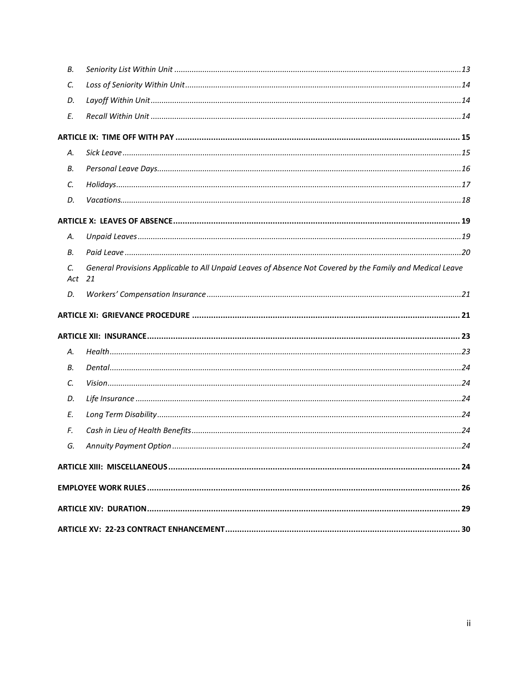| В.                        |                                                                                                           |  |
|---------------------------|-----------------------------------------------------------------------------------------------------------|--|
| C.                        |                                                                                                           |  |
| D.                        |                                                                                                           |  |
| E.                        |                                                                                                           |  |
|                           |                                                                                                           |  |
| А.                        |                                                                                                           |  |
| В.                        |                                                                                                           |  |
| C.                        |                                                                                                           |  |
| D.                        |                                                                                                           |  |
|                           |                                                                                                           |  |
| А.                        |                                                                                                           |  |
| В.                        |                                                                                                           |  |
| $\mathcal{C}$ .<br>Act 21 | General Provisions Applicable to All Unpaid Leaves of Absence Not Covered by the Family and Medical Leave |  |
| D.                        |                                                                                                           |  |
|                           |                                                                                                           |  |
|                           |                                                                                                           |  |
|                           |                                                                                                           |  |
| А.                        |                                                                                                           |  |
| В.                        |                                                                                                           |  |
| C.                        |                                                                                                           |  |
| D.                        |                                                                                                           |  |
| E.                        |                                                                                                           |  |
| F.                        |                                                                                                           |  |
| G.                        |                                                                                                           |  |
|                           |                                                                                                           |  |
|                           |                                                                                                           |  |
|                           |                                                                                                           |  |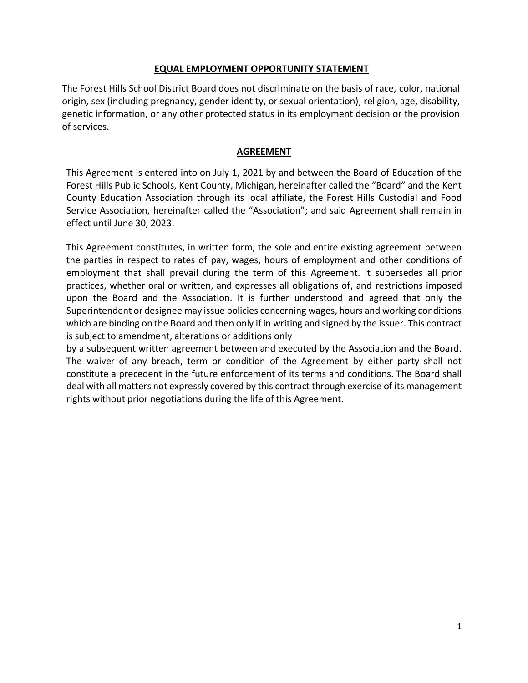#### **EQUAL EMPLOYMENT OPPORTUNITY STATEMENT**

<span id="page-3-0"></span>The Forest Hills School District Board does not discriminate on the basis of race, color, national origin, sex (including pregnancy, gender identity, or sexual orientation), religion, age, disability, genetic information, or any other protected status in its employment decision or the provision of services.

#### **AGREEMENT**

<span id="page-3-1"></span>This Agreement is entered into on July 1, 2021 by and between the Board of Education of the Forest Hills Public Schools, Kent County, Michigan, hereinafter called the "Board" and the Kent County Education Association through its local affiliate, the Forest Hills Custodial and Food Service Association, hereinafter called the "Association"; and said Agreement shall remain in effect until June 30, 2023.

This Agreement constitutes, in written form, the sole and entire existing agreement between the parties in respect to rates of pay, wages, hours of employment and other conditions of employment that shall prevail during the term of this Agreement. It supersedes all prior practices, whether oral or written, and expresses all obligations of, and restrictions imposed upon the Board and the Association. It is further understood and agreed that only the Superintendent or designee may issue policies concerning wages, hours and working conditions which are binding on the Board and then only if in writing and signed by the issuer. This contract is subject to amendment, alterations or additions only

by a subsequent written agreement between and executed by the Association and the Board. The waiver of any breach, term or condition of the Agreement by either party shall not constitute a precedent in the future enforcement of its terms and conditions. The Board shall deal with all matters not expressly covered by this contract through exercise of its management rights without prior negotiations during the life of this Agreement.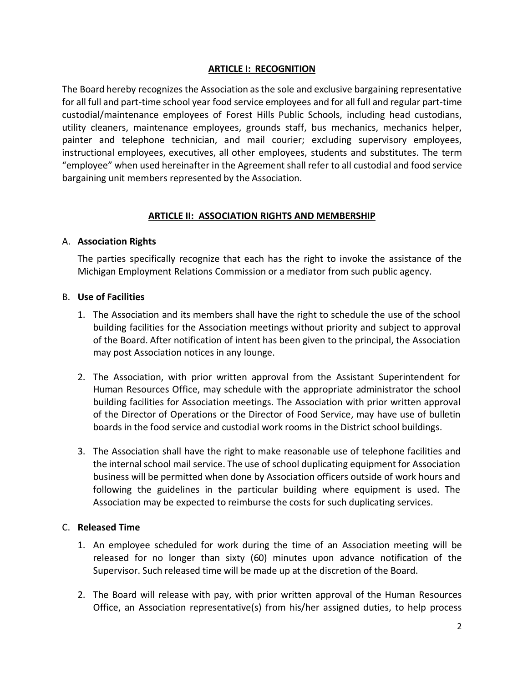#### **ARTICLE I: RECOGNITION**

<span id="page-4-0"></span>The Board hereby recognizes the Association as the sole and exclusive bargaining representative for all full and part-time school year food service employees and for all full and regular part-time custodial/maintenance employees of Forest Hills Public Schools, including head custodians, utility cleaners, maintenance employees, grounds staff, bus mechanics, mechanics helper, painter and telephone technician, and mail courier; excluding supervisory employees, instructional employees, executives, all other employees, students and substitutes. The term "employee" when used hereinafter in the Agreement shall refer to all custodial and food service bargaining unit members represented by the Association.

## **ARTICLE II: ASSOCIATION RIGHTS AND MEMBERSHIP**

## <span id="page-4-2"></span><span id="page-4-1"></span>A. **Association Rights**

The parties specifically recognize that each has the right to invoke the assistance of the Michigan Employment Relations Commission or a mediator from such public agency.

## <span id="page-4-3"></span>B. **Use of Facilities**

- 1. The Association and its members shall have the right to schedule the use of the school building facilities for the Association meetings without priority and subject to approval of the Board. After notification of intent has been given to the principal, the Association may post Association notices in any lounge.
- 2. The Association, with prior written approval from the Assistant Superintendent for Human Resources Office, may schedule with the appropriate administrator the school building facilities for Association meetings. The Association with prior written approval of the Director of Operations or the Director of Food Service, may have use of bulletin boards in the food service and custodial work rooms in the District school buildings.
- 3. The Association shall have the right to make reasonable use of telephone facilities and the internal school mail service. The use of school duplicating equipment for Association business will be permitted when done by Association officers outside of work hours and following the guidelines in the particular building where equipment is used. The Association may be expected to reimburse the costs for such duplicating services.

#### <span id="page-4-4"></span>C. **Released Time**

- 1. An employee scheduled for work during the time of an Association meeting will be released for no longer than sixty (60) minutes upon advance notification of the Supervisor. Such released time will be made up at the discretion of the Board.
- 2. The Board will release with pay, with prior written approval of the Human Resources Office, an Association representative(s) from his/her assigned duties, to help process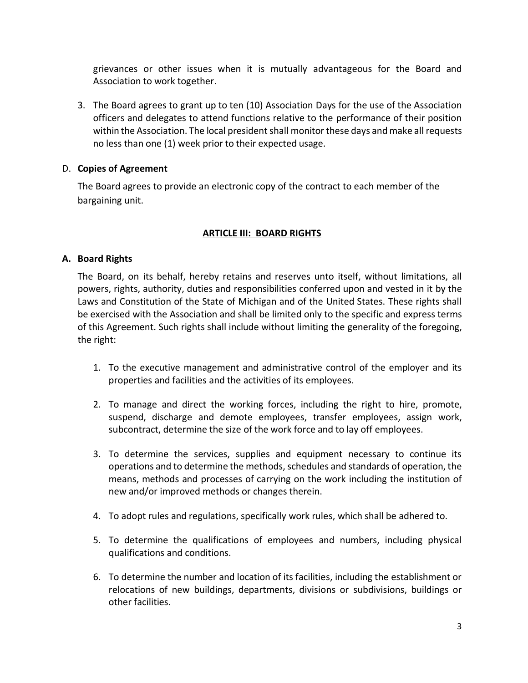grievances or other issues when it is mutually advantageous for the Board and Association to work together.

3. The Board agrees to grant up to ten (10) Association Days for the use of the Association officers and delegates to attend functions relative to the performance of their position within the Association. The local president shall monitor these days and make all requests no less than one (1) week prior to their expected usage.

## <span id="page-5-0"></span>D. **Copies of Agreement**

The Board agrees to provide an electronic copy of the contract to each member of the bargaining unit.

## **ARTICLE III: BOARD RIGHTS**

## <span id="page-5-2"></span><span id="page-5-1"></span>**A. Board Rights**

The Board, on its behalf, hereby retains and reserves unto itself, without limitations, all powers, rights, authority, duties and responsibilities conferred upon and vested in it by the Laws and Constitution of the State of Michigan and of the United States. These rights shall be exercised with the Association and shall be limited only to the specific and express terms of this Agreement. Such rights shall include without limiting the generality of the foregoing, the right:

- 1. To the executive management and administrative control of the employer and its properties and facilities and the activities of its employees.
- 2. To manage and direct the working forces, including the right to hire, promote, suspend, discharge and demote employees, transfer employees, assign work, subcontract, determine the size of the work force and to lay off employees.
- 3. To determine the services, supplies and equipment necessary to continue its operations and to determine the methods, schedules and standards of operation, the means, methods and processes of carrying on the work including the institution of new and/or improved methods or changes therein.
- 4. To adopt rules and regulations, specifically work rules, which shall be adhered to.
- 5. To determine the qualifications of employees and numbers, including physical qualifications and conditions.
- 6. To determine the number and location of its facilities, including the establishment or relocations of new buildings, departments, divisions or subdivisions, buildings or other facilities.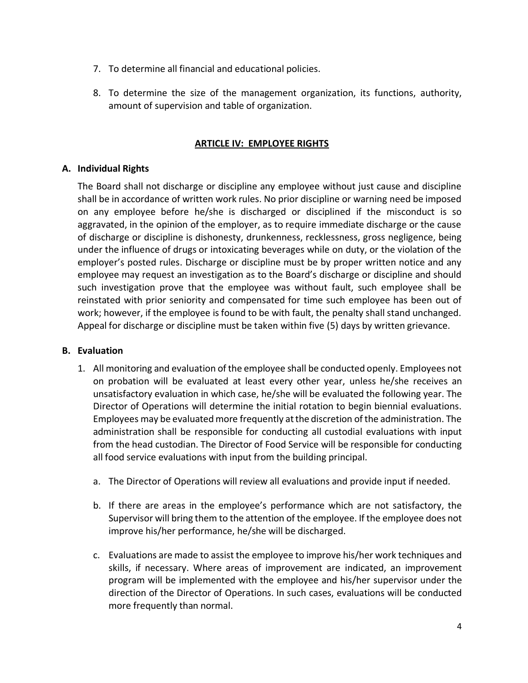- 7. To determine all financial and educational policies.
- 8. To determine the size of the management organization, its functions, authority, amount of supervision and table of organization.

#### **ARTICLE IV: EMPLOYEE RIGHTS**

## <span id="page-6-1"></span><span id="page-6-0"></span>**A. Individual Rights**

The Board shall not discharge or discipline any employee without just cause and discipline shall be in accordance of written work rules. No prior discipline or warning need be imposed on any employee before he/she is discharged or disciplined if the misconduct is so aggravated, in the opinion of the employer, as to require immediate discharge or the cause of discharge or discipline is dishonesty, drunkenness, recklessness, gross negligence, being under the influence of drugs or intoxicating beverages while on duty, or the violation of the employer's posted rules. Discharge or discipline must be by proper written notice and any employee may request an investigation as to the Board's discharge or discipline and should such investigation prove that the employee was without fault, such employee shall be reinstated with prior seniority and compensated for time such employee has been out of work; however, if the employee is found to be with fault, the penalty shall stand unchanged. Appeal for discharge or discipline must be taken within five (5) days by written grievance.

## <span id="page-6-2"></span>**B. Evaluation**

- 1. All monitoring and evaluation of the employee shall be conducted openly. Employees not on probation will be evaluated at least every other year, unless he/she receives an unsatisfactory evaluation in which case, he/she will be evaluated the following year. The Director of Operations will determine the initial rotation to begin biennial evaluations. Employees may be evaluated more frequently atthe discretion of the administration. The administration shall be responsible for conducting all custodial evaluations with input from the head custodian. The Director of Food Service will be responsible for conducting all food service evaluations with input from the building principal.
	- a. The Director of Operations will review all evaluations and provide input if needed.
	- b. If there are areas in the employee's performance which are not satisfactory, the Supervisor will bring them to the attention of the employee. If the employee does not improve his/her performance, he/she will be discharged.
	- c. Evaluations are made to assist the employee to improve his/her work techniques and skills, if necessary. Where areas of improvement are indicated, an improvement program will be implemented with the employee and his/her supervisor under the direction of the Director of Operations. In such cases, evaluations will be conducted more frequently than normal.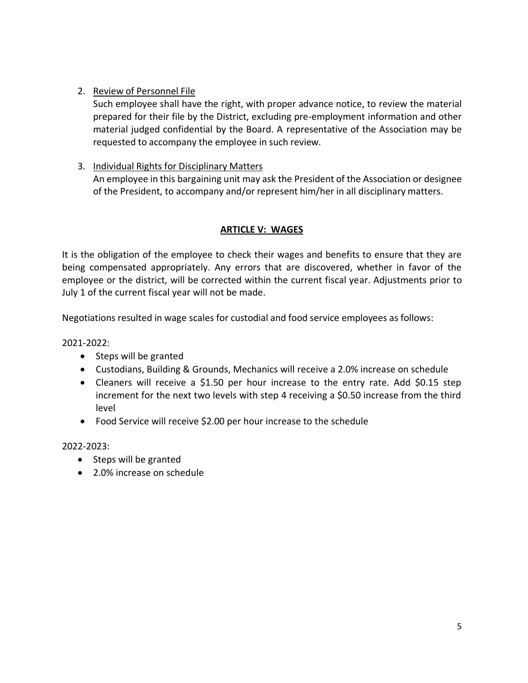## 2. Review of Personnel File

Such employee shall have the right, with proper advance notice, to review the material prepared for their file by the District, excluding pre-employment information and other material judged confidential by the Board. A representative of the Association may be requested to accompany the employee in such review.

## 3. Individual Rights for Disciplinary Matters

An employee in this bargaining unit may ask the President of the Association or designee of the President, to accompany and/or represent him/her in all disciplinary matters.

## **ARTICLE V: WAGES**

<span id="page-7-0"></span>It is the obligation of the employee to check their wages and benefits to ensure that they are being compensated appropriately. Any errors that are discovered, whether in favor of the employee or the district, will be corrected within the current fiscal year. Adjustments prior to July 1 of the current fiscal year will not be made.

Negotiations resulted in wage scales for custodial and food service employees as follows:

2021-2022:

- Steps will be granted
- Custodians, Building & Grounds, Mechanics will receive a 2.0% increase on schedule
- Cleaners will receive a \$1.50 per hour increase to the entry rate. Add \$0.15 step increment for the next two levels with step 4 receiving a \$0.50 increase from the third level
- Food Service will receive \$2.00 per hour increase to the schedule

2022-2023:

- Steps will be granted
- 2.0% increase on schedule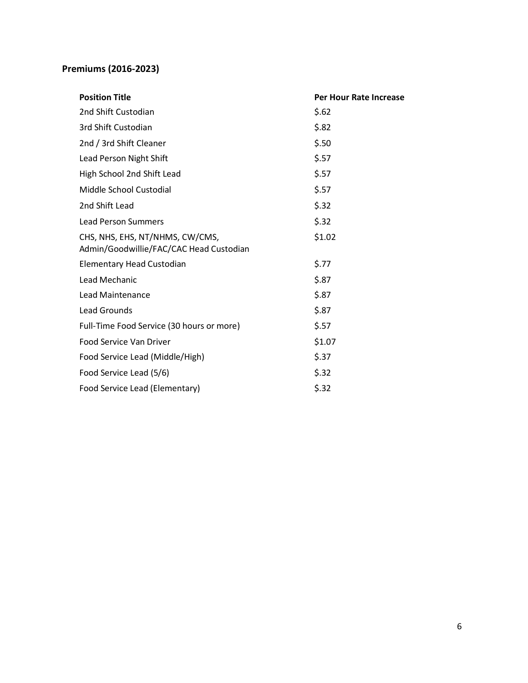# **Premiums (2016-2023)**

| <b>Position Title</b>                                                      | <b>Per Hour Rate Increase</b> |  |
|----------------------------------------------------------------------------|-------------------------------|--|
| 2nd Shift Custodian                                                        | \$.62                         |  |
| 3rd Shift Custodian                                                        | \$.82                         |  |
| 2nd / 3rd Shift Cleaner                                                    | \$.50                         |  |
| Lead Person Night Shift                                                    | \$.57                         |  |
| High School 2nd Shift Lead                                                 | \$.57                         |  |
| Middle School Custodial                                                    | \$.57                         |  |
| 2nd Shift Lead                                                             | \$.32                         |  |
| <b>Lead Person Summers</b>                                                 | \$.32                         |  |
| CHS, NHS, EHS, NT/NHMS, CW/CMS,<br>Admin/Goodwillie/FAC/CAC Head Custodian | \$1.02                        |  |
| <b>Elementary Head Custodian</b>                                           | \$.77                         |  |
| Lead Mechanic                                                              | \$.87                         |  |
| Lead Maintenance                                                           | \$.87                         |  |
| <b>Lead Grounds</b>                                                        | \$.87                         |  |
| Full-Time Food Service (30 hours or more)                                  | \$.57                         |  |
| Food Service Van Driver                                                    | \$1.07                        |  |
| Food Service Lead (Middle/High)                                            | \$.37                         |  |
| Food Service Lead (5/6)                                                    | \$.32                         |  |
| Food Service Lead (Elementary)                                             | \$.32                         |  |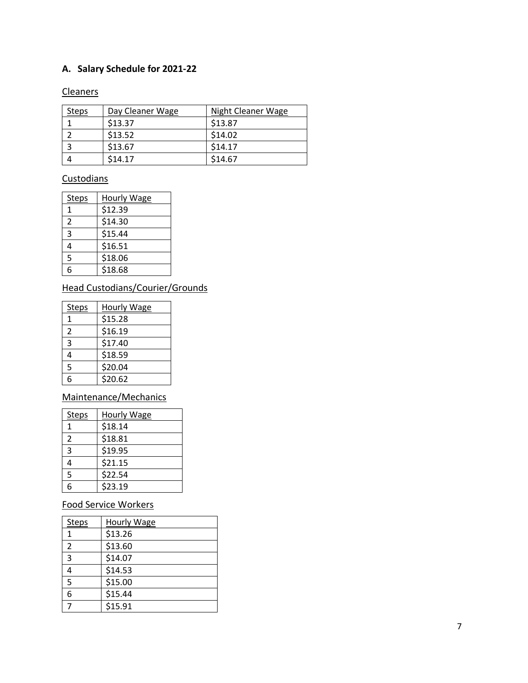## <span id="page-9-0"></span>**A. Salary Schedule for 2021 -22**

#### Cleaner s

| <b>Steps</b> | Day Cleaner Wage | Night Cleaner Wage |
|--------------|------------------|--------------------|
|              | \$13.37          | \$13.87            |
|              | \$13.52          | \$14.02            |
|              | \$13.67          | \$14.17            |
|              | \$14.17          | \$14.67            |

# **Custodians**

| <b>Steps</b> | <b>Hourly Wage</b> |
|--------------|--------------------|
| 1            | \$12.39            |
| 2            | \$14.30            |
| 3            | \$15.44            |
| 4            | \$16.51            |
| 5            | \$18.06            |
| 6            | \$18.68            |

# Head Custodians/Courier/Grounds

| <b>Steps</b> | <b>Hourly Wage</b> |
|--------------|--------------------|
|              | \$15.28            |
| 2            | \$16.19            |
| 3            | \$17.40            |
| 4            | \$18.59            |
| 5            | \$20.04            |
| 6            | \$20.62            |

# Maintenance/Mechanics

| <b>Steps</b>   | <b>Hourly Wage</b> |
|----------------|--------------------|
| 1              | \$18.14            |
| $\overline{2}$ | \$18.81            |
| 3              | \$19.95            |
| 4              | \$21.15            |
| 5              | \$22.54            |
| հ              | \$23.19            |

# Food Service Workers

| <b>Steps</b>   | <b>Hourly Wage</b> |
|----------------|--------------------|
| 1              | \$13.26            |
| $\overline{2}$ | \$13.60            |
| 3              | \$14.07            |
| 4              | \$14.53            |
| 5              | \$15.00            |
| 6              | \$15.44            |
| 7              | \$15.91            |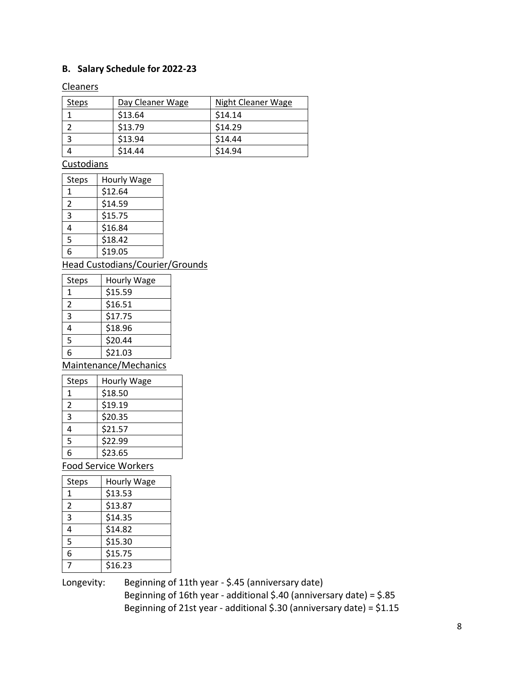## <span id="page-10-0"></span>**B. Salary Schedule for 2022-23**

#### **Cleaners**

| <b>Steps</b> | Day Cleaner Wage | <b>Night Cleaner Wage</b> |
|--------------|------------------|---------------------------|
|              | \$13.64          | \$14.14                   |
|              | \$13.79          | \$14.29                   |
|              | \$13.94          | \$14.44                   |
|              | \$14.44          | \$14.94                   |

# **Custodians**

| <b>Steps</b> | Hourly Wage |
|--------------|-------------|
| 1            | \$12.64     |
| 2            | \$14.59     |
| 3            | \$15.75     |
| 4            | \$16.84     |
| 5            | \$18.42     |
| հ            | \$19.05     |

## Head Custodians/Courier/Grounds

| <b>Steps</b> | Hourly Wage |
|--------------|-------------|
| 1            | \$15.59     |
| 2            | \$16.51     |
| 3            | \$17.75     |
| 4            | \$18.96     |
| 5            | \$20.44     |
| 6            | \$21.03     |

Maintenance/Mechanics

| <b>Steps</b> | Hourly Wage |
|--------------|-------------|
| 1            | \$18.50     |
| 2            | \$19.19     |
| 3            | \$20.35     |
|              | \$21.57     |
| 5            | \$22.99     |
| հ            | \$23.65     |

Food Service Workers

| <b>Steps</b>   | Hourly Wage |
|----------------|-------------|
| 1              | \$13.53     |
| $\overline{2}$ | \$13.87     |
| 3              | \$14.35     |
| 4              | \$14.82     |
| 5              | \$15.30     |
| 6              | \$15.75     |
|                | \$16.23     |

Longevity: Beginning of 11th year - \$.45 (anniversary date) Beginning of 16th year - additional \$.40 (anniversary date) = \$.85 Beginning of 21st year - additional \$.30 (anniversary date) = \$1.15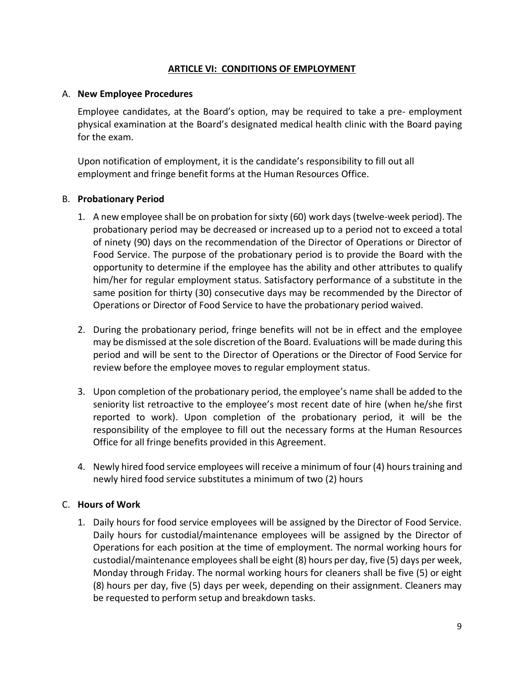## **ARTICLE VI: CONDITIONS OF EMPLOYMENT**

#### <span id="page-11-1"></span><span id="page-11-0"></span>A. **New Employee Procedures**

Employee candidates, at the Board's option, may be required to take a pre- employment physical examination at the Board's designated medical health clinic with the Board paying for the exam.

Upon notification of employment, it is the candidate's responsibility to fill out all employment and fringe benefit forms at the Human Resources Office.

#### <span id="page-11-2"></span>B. **Probationary Period**

- 1. A new employee shall be on probation forsixty (60) work days(twelve-week period). The probationary period may be decreased or increased up to a period not to exceed a total of ninety (90) days on the recommendation of the Director of Operations or Director of Food Service. The purpose of the probationary period is to provide the Board with the opportunity to determine if the employee has the ability and other attributes to qualify him/her for regular employment status. Satisfactory performance of a substitute in the same position for thirty (30) consecutive days may be recommended by the Director of Operations or Director of Food Service to have the probationary period waived.
- 2. During the probationary period, fringe benefits will not be in effect and the employee may be dismissed at the sole discretion of the Board. Evaluations will be made during this period and will be sent to the Director of Operations or the Director of Food Service for review before the employee moves to regular employment status.
- 3. Upon completion of the probationary period, the employee's name shall be added to the seniority list retroactive to the employee's most recent date of hire (when he/she first reported to work). Upon completion of the probationary period, it will be the responsibility of the employee to fill out the necessary forms at the Human Resources Office for all fringe benefits provided in this Agreement.
- 4. Newly hired food service employees will receive a minimum of four (4) hours training and newly hired food service substitutes a minimum of two (2) hours

#### <span id="page-11-3"></span>C. **Hours of Work**

1. Daily hours for food service employees will be assigned by the Director of Food Service. Daily hours for custodial/maintenance employees will be assigned by the Director of Operations for each position at the time of employment. The normal working hours for custodial/maintenance employeesshall be eight (8) hours per day, five (5) days per week, Monday through Friday. The normal working hours for cleaners shall be five (5) or eight (8) hours per day, five (5) days per week, depending on their assignment. Cleaners may be requested to perform setup and breakdown tasks.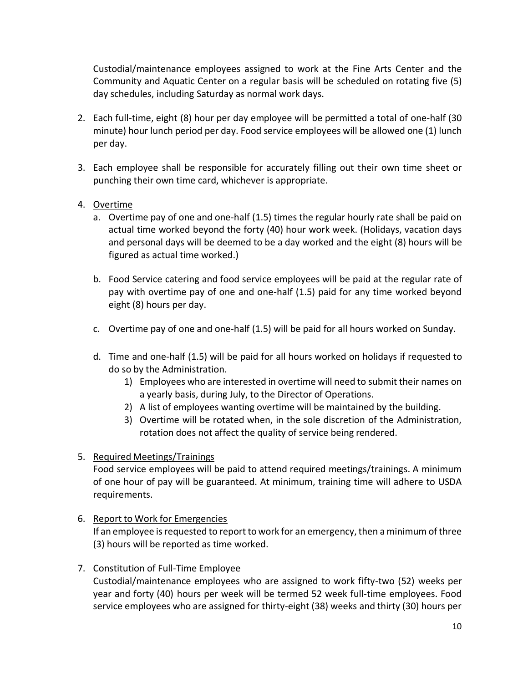Custodial/maintenance employees assigned to work at the Fine Arts Center and the Community and Aquatic Center on a regular basis will be scheduled on rotating five (5) day schedules, including Saturday as normal work days.

- 2. Each full-time, eight (8) hour per day employee will be permitted a total of one-half (30 minute) hour lunch period per day. Food service employees will be allowed one (1) lunch per day.
- 3. Each employee shall be responsible for accurately filling out their own time sheet or punching their own time card, whichever is appropriate.
- 4. Overtime
	- a. Overtime pay of one and one-half (1.5) times the regular hourly rate shall be paid on actual time worked beyond the forty (40) hour work week. (Holidays, vacation days and personal days will be deemed to be a day worked and the eight (8) hours will be figured as actual time worked.)
	- b. Food Service catering and food service employees will be paid at the regular rate of pay with overtime pay of one and one-half (1.5) paid for any time worked beyond eight (8) hours per day.
	- c. Overtime pay of one and one-half (1.5) will be paid for all hours worked on Sunday.
	- d. Time and one-half (1.5) will be paid for all hours worked on holidays if requested to do so by the Administration.
		- 1) Employees who are interested in overtime will need to submit their names on a yearly basis, during July, to the Director of Operations.
		- 2) A list of employees wanting overtime will be maintained by the building.
		- 3) Overtime will be rotated when, in the sole discretion of the Administration, rotation does not affect the quality of service being rendered.
- 5. Required Meetings/Trainings

Food service employees will be paid to attend required meetings/trainings. A minimum of one hour of pay will be guaranteed. At minimum, training time will adhere to USDA requirements.

6. Report to Work for Emergencies

If an employee is requested to report to work for an emergency, then a minimum of three (3) hours will be reported as time worked.

7. Constitution of Full-Time Employee

Custodial/maintenance employees who are assigned to work fifty-two (52) weeks per year and forty (40) hours per week will be termed 52 week full-time employees. Food service employees who are assigned for thirty-eight (38) weeks and thirty (30) hours per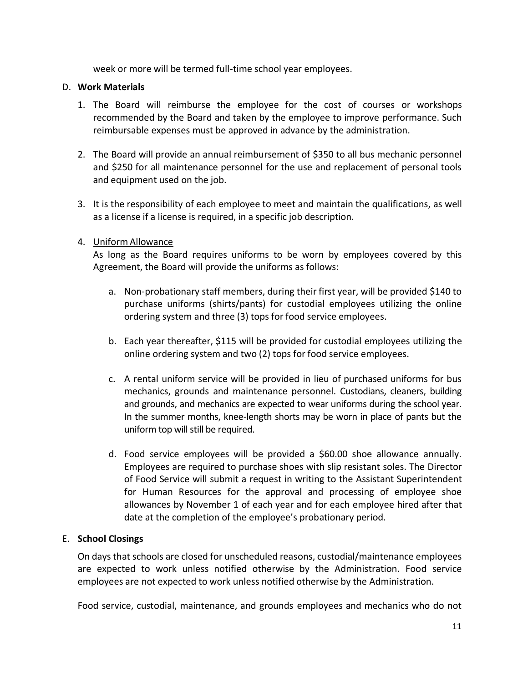week or more will be termed full-time school year employees.

## <span id="page-13-0"></span>D. **Work Materials**

- 1. The Board will reimburse the employee for the cost of courses or workshops recommended by the Board and taken by the employee to improve performance. Such reimbursable expenses must be approved in advance by the administration.
- 2. The Board will provide an annual reimbursement of \$350 to all bus mechanic personnel and \$250 for all maintenance personnel for the use and replacement of personal tools and equipment used on the job.
- 3. It is the responsibility of each employee to meet and maintain the qualifications, as well as a license if a license is required, in a specific job description.

## 4. Uniform Allowance

As long as the Board requires uniforms to be worn by employees covered by this Agreement, the Board will provide the uniforms as follows:

- a. Non-probationary staff members, during their first year, will be provided \$140 to purchase uniforms (shirts/pants) for custodial employees utilizing the online ordering system and three (3) tops for food service employees.
- b. Each year thereafter, \$115 will be provided for custodial employees utilizing the online ordering system and two (2) tops for food service employees.
- c. A rental uniform service will be provided in lieu of purchased uniforms for bus mechanics, grounds and maintenance personnel. Custodians, cleaners, building and grounds, and mechanics are expected to wear uniforms during the school year. In the summer months, knee-length shorts may be worn in place of pants but the uniform top will still be required.
- d. Food service employees will be provided a \$60.00 shoe allowance annually. Employees are required to purchase shoes with slip resistant soles. The Director of Food Service will submit a request in writing to the Assistant Superintendent for Human Resources for the approval and processing of employee shoe allowances by November 1 of each year and for each employee hired after that date at the completion of the employee's probationary period.

## <span id="page-13-1"></span>E. **School Closings**

On daysthat schools are closed for unscheduled reasons, custodial/maintenance employees are expected to work unless notified otherwise by the Administration. Food service employees are not expected to work unless notified otherwise by the Administration.

Food service, custodial, maintenance, and grounds employees and mechanics who do not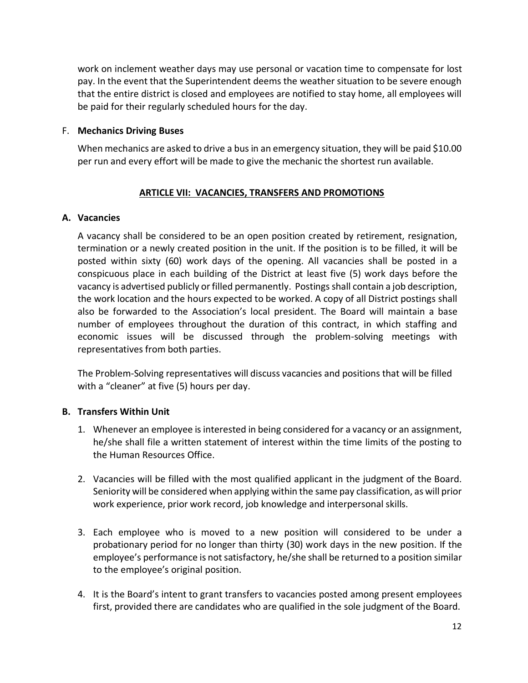work on inclement weather days may use personal or vacation time to compensate for lost pay. In the event that the Superintendent deems the weather situation to be severe enough that the entire district is closed and employees are notified to stay home, all employees will be paid for their regularly scheduled hours for the day.

#### <span id="page-14-0"></span>F. **Mechanics Driving Buses**

When mechanics are asked to drive a bus in an emergency situation, they will be paid \$10.00 per run and every effort will be made to give the mechanic the shortest run available.

## **ARTICLE VII: VACANCIES, TRANSFERS AND PROMOTIONS**

#### <span id="page-14-2"></span><span id="page-14-1"></span>**A. Vacancies**

A vacancy shall be considered to be an open position created by retirement, resignation, termination or a newly created position in the unit. If the position is to be filled, it will be posted within sixty (60) work days of the opening. All vacancies shall be posted in a conspicuous place in each building of the District at least five (5) work days before the vacancy is advertised publicly or filled permanently. Postings shall contain a job description, the work location and the hours expected to be worked. A copy of all District postings shall also be forwarded to the Association's local president. The Board will maintain a base number of employees throughout the duration of this contract, in which staffing and economic issues will be discussed through the problem-solving meetings with representatives from both parties.

The Problem-Solving representatives will discuss vacancies and positions that will be filled with a "cleaner" at five (5) hours per day.

#### <span id="page-14-3"></span>**B. Transfers Within Unit**

- 1. Whenever an employee isinterested in being considered for a vacancy or an assignment, he/she shall file a written statement of interest within the time limits of the posting to the Human Resources Office.
- 2. Vacancies will be filled with the most qualified applicant in the judgment of the Board. Seniority will be considered when applying within the same pay classification, as will prior work experience, prior work record, job knowledge and interpersonal skills.
- 3. Each employee who is moved to a new position will considered to be under a probationary period for no longer than thirty (30) work days in the new position. If the employee's performance is not satisfactory, he/she shall be returned to a position similar to the employee's original position.
- 4. It is the Board's intent to grant transfers to vacancies posted among present employees first, provided there are candidates who are qualified in the sole judgment of the Board.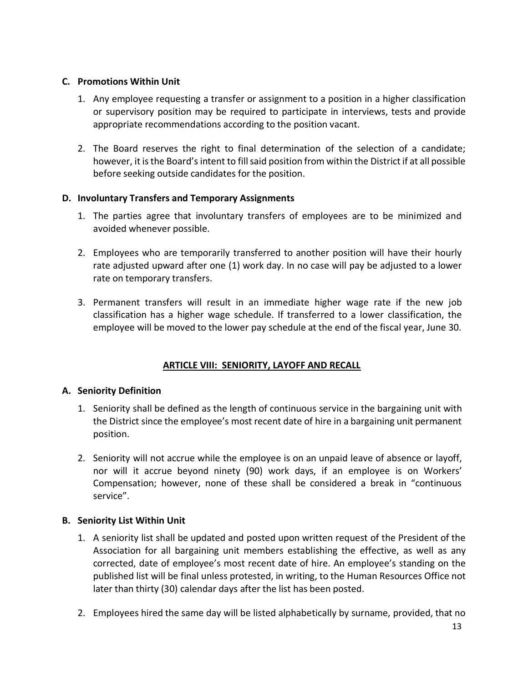## <span id="page-15-0"></span>**C. Promotions Within Unit**

- 1. Any employee requesting a transfer or assignment to a position in a higher classification or supervisory position may be required to participate in interviews, tests and provide appropriate recommendations according to the position vacant.
- 2. The Board reserves the right to final determination of the selection of a candidate; however, it is the Board's intent to fill said position from within the District if at all possible before seeking outside candidates for the position.

## <span id="page-15-1"></span>**D. Involuntary Transfers and Temporary Assignments**

- 1. The parties agree that involuntary transfers of employees are to be minimized and avoided whenever possible.
- 2. Employees who are temporarily transferred to another position will have their hourly rate adjusted upward after one (1) work day. In no case will pay be adjusted to a lower rate on temporary transfers.
- 3. Permanent transfers will result in an immediate higher wage rate if the new job classification has a higher wage schedule. If transferred to a lower classification, the employee will be moved to the lower pay schedule at the end of the fiscal year, June 30.

## **ARTICLE VIII: SENIORITY, LAYOFF AND RECALL**

## <span id="page-15-3"></span><span id="page-15-2"></span>**A. Seniority Definition**

- 1. Seniority shall be defined as the length of continuous service in the bargaining unit with the District since the employee's most recent date of hire in a bargaining unit permanent position.
- 2. Seniority will not accrue while the employee is on an unpaid leave of absence or layoff, nor will it accrue beyond ninety (90) work days, if an employee is on Workers' Compensation; however, none of these shall be considered a break in "continuous service".

#### <span id="page-15-4"></span>**B. Seniority List Within Unit**

- 1. A seniority list shall be updated and posted upon written request of the President of the Association for all bargaining unit members establishing the effective, as well as any corrected, date of employee's most recent date of hire. An employee's standing on the published list will be final unless protested, in writing, to the Human Resources Office not later than thirty (30) calendar days after the list has been posted.
- 2. Employees hired the same day will be listed alphabetically by surname, provided, that no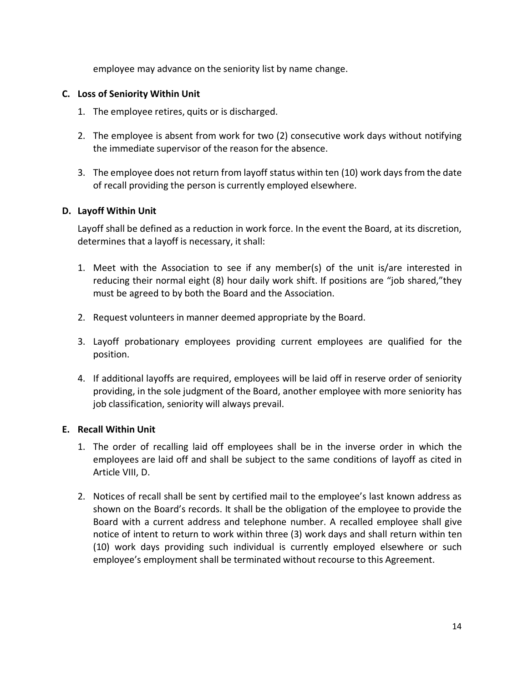employee may advance on the seniority list by name change.

## <span id="page-16-0"></span>**C. Loss of Seniority Within Unit**

- 1. The employee retires, quits or is discharged.
- 2. The employee is absent from work for two (2) consecutive work days without notifying the immediate supervisor of the reason for the absence.
- 3. The employee does not return from layoff status within ten (10) work days from the date of recall providing the person is currently employed elsewhere.

## <span id="page-16-1"></span>**D. Layoff Within Unit**

Layoff shall be defined as a reduction in work force. In the event the Board, at its discretion, determines that a layoff is necessary, it shall:

- 1. Meet with the Association to see if any member(s) of the unit is/are interested in reducing their normal eight (8) hour daily work shift. If positions are "job shared,"they must be agreed to by both the Board and the Association.
- 2. Request volunteers in manner deemed appropriate by the Board.
- 3. Layoff probationary employees providing current employees are qualified for the position.
- 4. If additional layoffs are required, employees will be laid off in reserve order of seniority providing, in the sole judgment of the Board, another employee with more seniority has job classification, seniority will always prevail.

## <span id="page-16-2"></span>**E. Recall Within Unit**

- 1. The order of recalling laid off employees shall be in the inverse order in which the employees are laid off and shall be subject to the same conditions of layoff as cited in Article VIII, D.
- 2. Notices of recall shall be sent by certified mail to the employee's last known address as shown on the Board's records. It shall be the obligation of the employee to provide the Board with a current address and telephone number. A recalled employee shall give notice of intent to return to work within three (3) work days and shall return within ten (10) work days providing such individual is currently employed elsewhere or such employee's employment shall be terminated without recourse to this Agreement.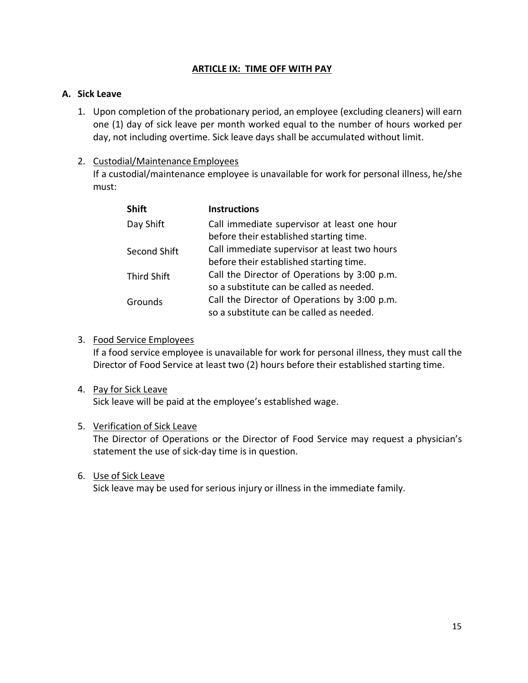#### **ARTICLE IX: TIME OFF WITH PAY**

#### <span id="page-17-1"></span><span id="page-17-0"></span>**A. Sick Leave**

1. Upon completion of the probationary period, an employee (excluding cleaners) will earn one (1) day of sick leave per month worked equal to the number of hours worked per day, not including overtime. Sick leave days shall be accumulated without limit.

## 2. Custodial/Maintenance Employees

If a custodial/maintenance employee is unavailable for work for personal illness, he/she must:

| <b>Shift</b>       | <b>Instructions</b>                          |
|--------------------|----------------------------------------------|
| Day Shift          | Call immediate supervisor at least one hour  |
|                    | before their established starting time.      |
| Second Shift       | Call immediate supervisor at least two hours |
|                    | before their established starting time.      |
| <b>Third Shift</b> | Call the Director of Operations by 3:00 p.m. |
|                    | so a substitute can be called as needed.     |
| Grounds            | Call the Director of Operations by 3:00 p.m. |
|                    | so a substitute can be called as needed.     |

## 3. Food Service Employees

If a food service employee is unavailable for work for personal illness, they must call the Director of Food Service at least two (2) hours before their established starting time.

#### 4. Pay for Sick Leave

Sick leave will be paid at the employee's established wage.

#### 5. Verification of Sick Leave

The Director of Operations or the Director of Food Service may request a physician's statement the use of sick-day time is in question.

#### 6. Use of Sick Leave

Sick leave may be used for serious injury or illness in the immediate family.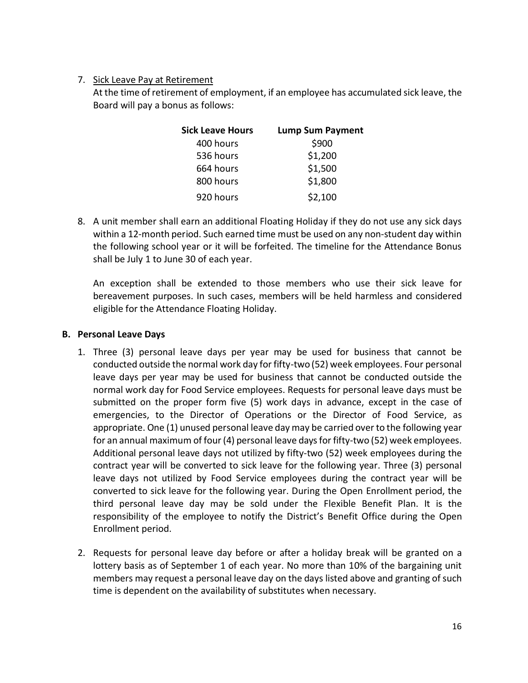## 7. Sick Leave Pay at Retirement

At the time ofretirement of employment, if an employee has accumulated sick leave, the Board will pay a bonus as follows:

| Sick Leave Hours | <b>Lump Sum Payment</b> |
|------------------|-------------------------|
| 400 hours        | \$900                   |
| 536 hours        | \$1,200                 |
| 664 hours        | \$1,500                 |
| 800 hours        | \$1,800                 |
| 920 hours        | \$2,100                 |

8. A unit member shall earn an additional Floating Holiday if they do not use any sick days within a 12-month period. Such earned time must be used on any non-student day within the following school year or it will be forfeited. The timeline for the Attendance Bonus shall be July 1 to June 30 of each year.

An exception shall be extended to those members who use their sick leave for bereavement purposes. In such cases, members will be held harmless and considered eligible for the Attendance Floating Holiday.

#### <span id="page-18-0"></span>**B. Personal Leave Days**

- 1. Three (3) personal leave days per year may be used for business that cannot be conducted outside the normal work day forfifty-two (52) week employees. Four personal leave days per year may be used for business that cannot be conducted outside the normal work day for Food Service employees. Requests for personal leave days must be submitted on the proper form five (5) work days in advance, except in the case of emergencies, to the Director of Operations or the Director of Food Service, as appropriate. One (1) unused personal leave day may be carried over to the following year for an annual maximum of four (4) personal leave days for fifty-two (52) week employees. Additional personal leave days not utilized by fifty-two (52) week employees during the contract year will be converted to sick leave for the following year. Three (3) personal leave days not utilized by Food Service employees during the contract year will be converted to sick leave for the following year. During the Open Enrollment period, the third personal leave day may be sold under the Flexible Benefit Plan. It is the responsibility of the employee to notify the District's Benefit Office during the Open Enrollment period.
- 2. Requests for personal leave day before or after a holiday break will be granted on a lottery basis as of September 1 of each year. No more than 10% of the bargaining unit members may request a personal leave day on the days listed above and granting of such time is dependent on the availability of substitutes when necessary.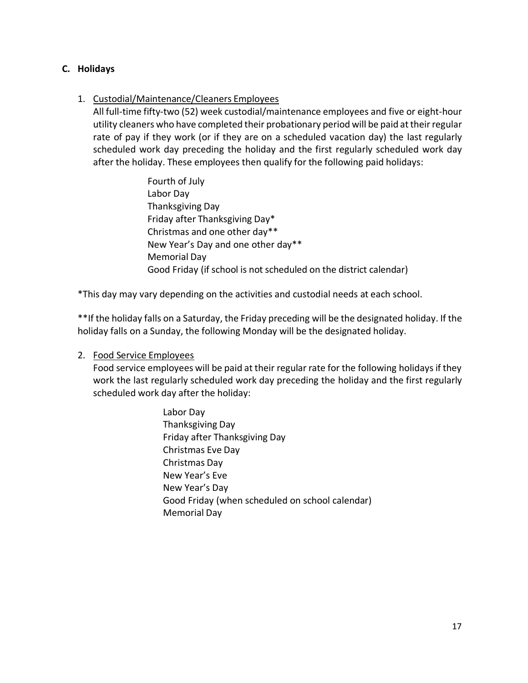## <span id="page-19-0"></span>**C. Holidays**

## 1. Custodial/Maintenance/Cleaners Employees

All full-time fifty-two (52) week custodial/maintenance employees and five or eight-hour utility cleaners who have completed their probationary period will be paid at their regular rate of pay if they work (or if they are on a scheduled vacation day) the last regularly scheduled work day preceding the holiday and the first regularly scheduled work day after the holiday. These employees then qualify for the following paid holidays:

> Fourth of July Labor Day Thanksgiving Day Friday after Thanksgiving Day\* Christmas and one other day\*\* New Year's Day and one other day\*\* Memorial Day Good Friday (if school is not scheduled on the district calendar)

\*This day may vary depending on the activities and custodial needs at each school.

\*\*If the holiday falls on a Saturday, the Friday preceding will be the designated holiday. If the holiday falls on a Sunday, the following Monday will be the designated holiday.

## 2. Food Service Employees

Food service employees will be paid at their regular rate for the following holidays if they work the last regularly scheduled work day preceding the holiday and the first regularly scheduled work day after the holiday:

> Labor Day Thanksgiving Day Friday after Thanksgiving Day Christmas Eve Day Christmas Day New Year's Eve New Year's Day Good Friday (when scheduled on school calendar) Memorial Day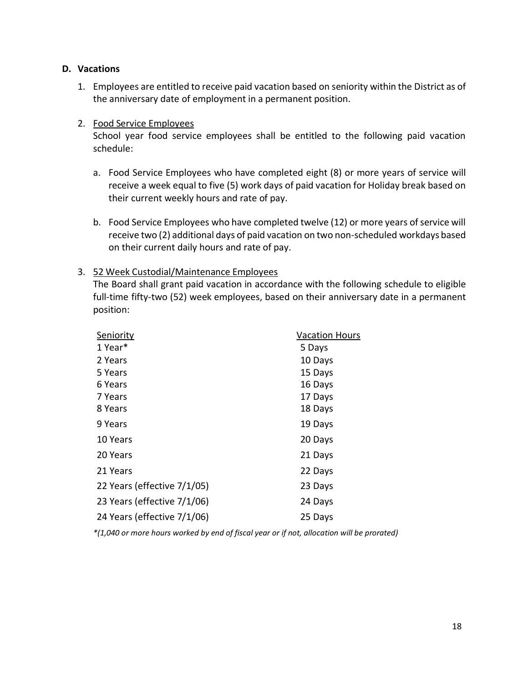#### <span id="page-20-0"></span>**D. Vacations**

1. Employees are entitled to receive paid vacation based on seniority within the District as of the anniversary date of employment in a permanent position.

## 2. Food Service Employees

School year food service employees shall be entitled to the following paid vacation schedule:

- a. Food Service Employees who have completed eight (8) or more years of service will receive a week equal to five (5) work days of paid vacation for Holiday break based on their current weekly hours and rate of pay.
- b. Food Service Employees who have completed twelve (12) or more years of service will receive two (2) additional days of paid vacation on two non-scheduled workdays based on their current daily hours and rate of pay.

## 3. 52 Week Custodial/Maintenance Employees

The Board shall grant paid vacation in accordance with the following schedule to eligible full-time fifty-two (52) week employees, based on their anniversary date in a permanent position:

| Seniority                   | <b>Vacation Hours</b> |
|-----------------------------|-----------------------|
| 1 Year*                     | 5 Days                |
| 2 Years                     | 10 Days               |
| 5 Years                     | 15 Days               |
| 6 Years                     | 16 Days               |
| 7 Years                     | 17 Days               |
| 8 Years                     | 18 Days               |
| 9 Years                     | 19 Days               |
| 10 Years                    | 20 Days               |
| 20 Years                    | 21 Days               |
| 21 Years                    | 22 Days               |
| 22 Years (effective 7/1/05) | 23 Days               |
| 23 Years (effective 7/1/06) | 24 Days               |
| 24 Years (effective 7/1/06) | 25 Days               |

*\*(1,040 or more hours worked by end of fiscal year or if not, allocation will be prorated)*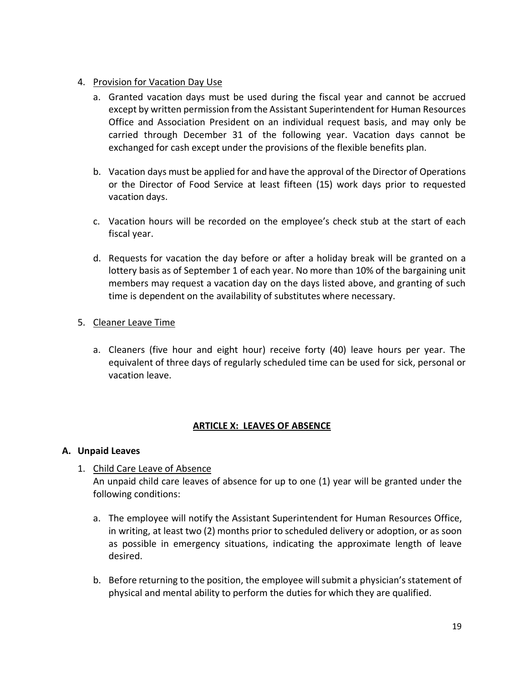## 4. Provision for Vacation Day Use

- a. Granted vacation days must be used during the fiscal year and cannot be accrued except by written permission from the Assistant Superintendent for Human Resources Office and Association President on an individual request basis, and may only be carried through December 31 of the following year. Vacation days cannot be exchanged for cash except under the provisions of the flexible benefits plan.
- b. Vacation days must be applied for and have the approval of the Director of Operations or the Director of Food Service at least fifteen (15) work days prior to requested vacation days.
- c. Vacation hours will be recorded on the employee's check stub at the start of each fiscal year.
- d. Requests for vacation the day before or after a holiday break will be granted on a lottery basis as of September 1 of each year. No more than 10% of the bargaining unit members may request a vacation day on the days listed above, and granting of such time is dependent on the availability of substitutes where necessary.
- 5. Cleaner Leave Time
	- a. Cleaners (five hour and eight hour) receive forty (40) leave hours per year. The equivalent of three days of regularly scheduled time can be used for sick, personal or vacation leave.

#### **ARTICLE X: LEAVES OF ABSENCE**

## <span id="page-21-1"></span><span id="page-21-0"></span>**A. Unpaid Leaves**

- 1. Child Care Leave of Absence An unpaid child care leaves of absence for up to one (1) year will be granted under the following conditions:
	- a. The employee will notify the Assistant Superintendent for Human Resources Office, in writing, at least two (2) months prior to scheduled delivery or adoption, or as soon as possible in emergency situations, indicating the approximate length of leave desired.
	- b. Before returning to the position, the employee will submit a physician's statement of physical and mental ability to perform the duties for which they are qualified.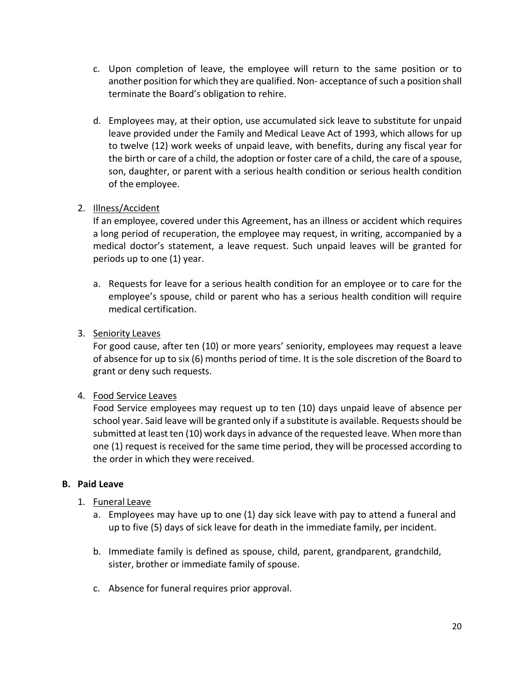- c. Upon completion of leave, the employee will return to the same position or to another position for which they are qualified. Non- acceptance of such a position shall terminate the Board's obligation to rehire.
- d. Employees may, at their option, use accumulated sick leave to substitute for unpaid leave provided under the Family and Medical Leave Act of 1993, which allows for up to twelve (12) work weeks of unpaid leave, with benefits, during any fiscal year for the birth or care of a child, the adoption or foster care of a child, the care of a spouse, son, daughter, or parent with a serious health condition or serious health condition of the employee.

## 2. Illness/Accident

If an employee, covered under this Agreement, has an illness or accident which requires a long period of recuperation, the employee may request, in writing, accompanied by a medical doctor's statement, a leave request. Such unpaid leaves will be granted for periods up to one (1) year.

- a. Requests for leave for a serious health condition for an employee or to care for the employee's spouse, child or parent who has a serious health condition will require medical certification.
- 3. Seniority Leaves

For good cause, after ten (10) or more years' seniority, employees may request a leave of absence for up to six (6) months period of time. It is the sole discretion of the Board to grant or deny such requests.

## 4. Food Service Leaves

Food Service employees may request up to ten (10) days unpaid leave of absence per school year. Said leave will be granted only if a substitute is available. Requests should be submitted at least ten (10) work days in advance of the requested leave. When more than one (1) request is received for the same time period, they will be processed according to the order in which they were received.

## <span id="page-22-0"></span>**B. Paid Leave**

## 1. Funeral Leave

- a. Employees may have up to one (1) day sick leave with pay to attend a funeral and up to five (5) days of sick leave for death in the immediate family, per incident.
- b. Immediate family is defined as spouse, child, parent, grandparent, grandchild, sister, brother or immediate family of spouse.
- c. Absence for funeral requires prior approval.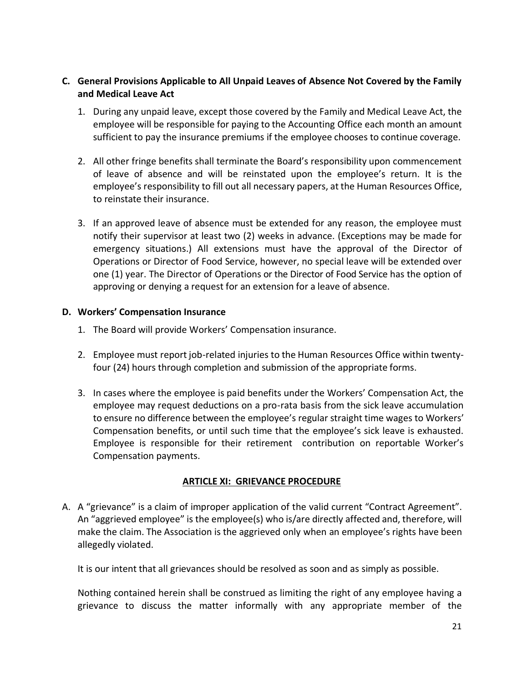## <span id="page-23-0"></span>**C. General Provisions Applicable to All Unpaid Leaves of Absence Not Covered by the Family and Medical Leave Act**

- 1. During any unpaid leave, except those covered by the Family and Medical Leave Act, the employee will be responsible for paying to the Accounting Office each month an amount sufficient to pay the insurance premiums if the employee chooses to continue coverage.
- 2. All other fringe benefits shall terminate the Board's responsibility upon commencement of leave of absence and will be reinstated upon the employee's return. It is the employee's responsibility to fill out all necessary papers, at the Human Resources Office, to reinstate their insurance.
- 3. If an approved leave of absence must be extended for any reason, the employee must notify their supervisor at least two (2) weeks in advance. (Exceptions may be made for emergency situations.) All extensions must have the approval of the Director of Operations or Director of Food Service, however, no special leave will be extended over one (1) year. The Director of Operations or the Director of Food Service has the option of approving or denying a request for an extension for a leave of absence.

## <span id="page-23-1"></span>**D. Workers' Compensation Insurance**

- 1. The Board will provide Workers' Compensation insurance.
- 2. Employee must report job-related injuries to the Human Resources Office within twentyfour (24) hours through completion and submission of the appropriate forms.
- 3. In cases where the employee is paid benefits under the Workers' Compensation Act, the employee may request deductions on a pro-rata basis from the sick leave accumulation to ensure no difference between the employee's regular straight time wages to Workers' Compensation benefits, or until such time that the employee's sick leave is exhausted. Employee is responsible for their retirement contribution on reportable Worker's Compensation payments.

## **ARTICLE XI: GRIEVANCE PROCEDURE**

<span id="page-23-2"></span>A. A "grievance" is a claim of improper application of the valid current "Contract Agreement". An "aggrieved employee" is the employee(s) who is/are directly affected and, therefore, will make the claim. The Association is the aggrieved only when an employee's rights have been allegedly violated.

It is our intent that all grievances should be resolved as soon and as simply as possible.

Nothing contained herein shall be construed as limiting the right of any employee having a grievance to discuss the matter informally with any appropriate member of the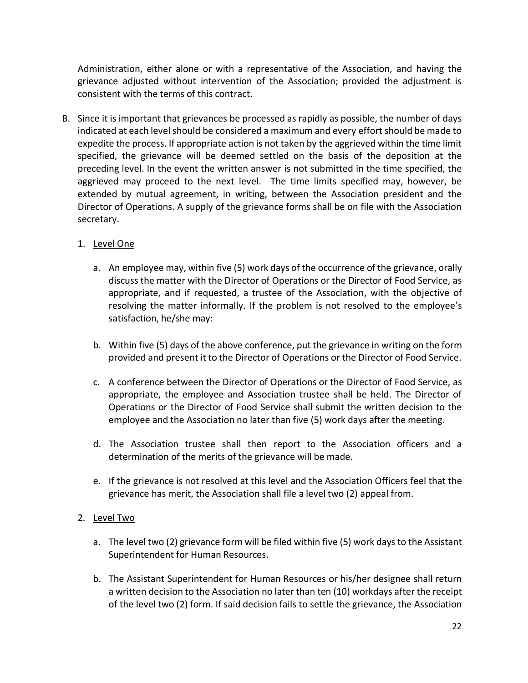Administration, either alone or with a representative of the Association, and having the grievance adjusted without intervention of the Association; provided the adjustment is consistent with the terms of this contract.

B. Since it is important that grievances be processed as rapidly as possible, the number of days indicated at each level should be considered a maximum and every effort should be made to expedite the process. If appropriate action is not taken by the aggrieved within the time limit specified, the grievance will be deemed settled on the basis of the deposition at the preceding level. In the event the written answer is not submitted in the time specified, the aggrieved may proceed to the next level. The time limits specified may, however, be extended by mutual agreement, in writing, between the Association president and the Director of Operations. A supply of the grievance forms shall be on file with the Association secretary.

## 1. Level One

- a. An employee may, within five (5) work days of the occurrence of the grievance, orally discussthe matter with the Director of Operations or the Director of Food Service, as appropriate, and if requested, a trustee of the Association, with the objective of resolving the matter informally. If the problem is not resolved to the employee's satisfaction, he/she may:
- b. Within five (5) days of the above conference, put the grievance in writing on the form provided and present it to the Director of Operations or the Director of Food Service.
- c. A conference between the Director of Operations or the Director of Food Service, as appropriate, the employee and Association trustee shall be held. The Director of Operations or the Director of Food Service shall submit the written decision to the employee and the Association no later than five (5) work days after the meeting.
- d. The Association trustee shall then report to the Association officers and a determination of the merits of the grievance will be made.
- e. If the grievance is not resolved at this level and the Association Officers feel that the grievance has merit, the Association shall file a level two (2) appeal from.

## 2. Level Two

- a. The level two (2) grievance form will be filed within five (5) work daysto the Assistant Superintendent for Human Resources.
- b. The Assistant Superintendent for Human Resources or his/her designee shall return a written decision to the Association no later than ten (10) workdays after the receipt of the level two (2) form. If said decision fails to settle the grievance, the Association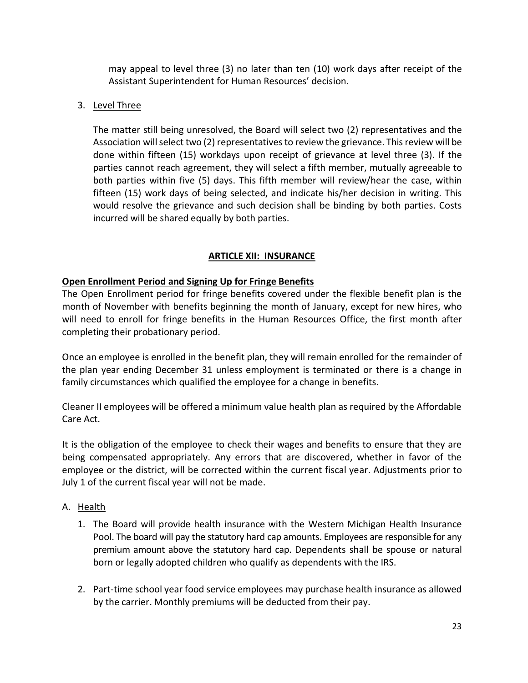may appeal to level three (3) no later than ten (10) work days after receipt of the Assistant Superintendent for Human Resources' decision.

## 3. Level Three

The matter still being unresolved, the Board will select two (2) representatives and the Association will select two (2) representatives to review the grievance. This review will be done within fifteen (15) workdays upon receipt of grievance at level three (3). If the parties cannot reach agreement, they will select a fifth member, mutually agreeable to both parties within five (5) days. This fifth member will review/hear the case, within fifteen (15) work days of being selected, and indicate his/her decision in writing. This would resolve the grievance and such decision shall be binding by both parties. Costs incurred will be shared equally by both parties.

## **ARTICLE XII: INSURANCE**

## <span id="page-25-0"></span>**Open Enrollment Period and Signing Up for Fringe Benefits**

The Open Enrollment period for fringe benefits covered under the flexible benefit plan is the month of November with benefits beginning the month of January, except for new hires, who will need to enroll for fringe benefits in the Human Resources Office, the first month after completing their probationary period.

Once an employee is enrolled in the benefit plan, they will remain enrolled for the remainder of the plan year ending December 31 unless employment is terminated or there is a change in family circumstances which qualified the employee for a change in benefits.

Cleaner II employees will be offered a minimum value health plan as required by the Affordable Care Act.

It is the obligation of the employee to check their wages and benefits to ensure that they are being compensated appropriately. Any errors that are discovered, whether in favor of the employee or the district, will be corrected within the current fiscal year. Adjustments prior to July 1 of the current fiscal year will not be made.

## <span id="page-25-1"></span>A. Health

- 1. The Board will provide health insurance with the Western Michigan Health Insurance Pool. The board will pay the statutory hard cap amounts. Employees are responsible for any premium amount above the statutory hard cap. Dependents shall be spouse or natural born or legally adopted children who qualify as dependents with the IRS.
- 2. Part-time school year food service employees may purchase health insurance as allowed by the carrier. Monthly premiums will be deducted from their pay.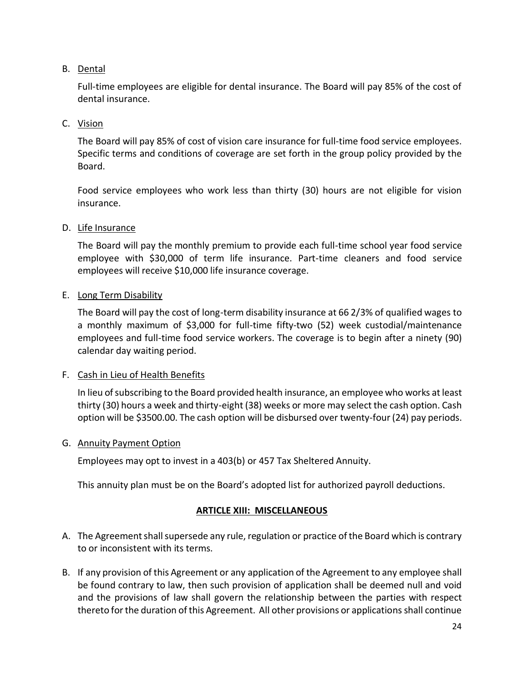## <span id="page-26-0"></span>B. Dental

Full-time employees are eligible for dental insurance. The Board will pay 85% of the cost of dental insurance.

## <span id="page-26-1"></span>C. Vision

The Board will pay 85% of cost of vision care insurance for full-time food service employees. Specific terms and conditions of coverage are set forth in the group policy provided by the Board.

Food service employees who work less than thirty (30) hours are not eligible for vision insurance.

## <span id="page-26-2"></span>D. Life Insurance

The Board will pay the monthly premium to provide each full-time school year food service employee with \$30,000 of term life insurance. Part-time cleaners and food service employees will receive \$10,000 life insurance coverage.

## <span id="page-26-3"></span>E. Long Term Disability

The Board will pay the cost of long-term disability insurance at 66 2/3% of qualified wages to a monthly maximum of \$3,000 for full-time fifty-two (52) week custodial/maintenance employees and full-time food service workers. The coverage is to begin after a ninety (90) calendar day waiting period.

## <span id="page-26-4"></span>F. Cash in Lieu of Health Benefits

In lieu of subscribing to the Board provided health insurance, an employee who works at least thirty (30) hours a week and thirty-eight (38) weeks or more may select the cash option. Cash option will be \$3500.00. The cash option will be disbursed over twenty-four(24) pay periods.

## <span id="page-26-5"></span>G. Annuity Payment Option

Employees may opt to invest in a 403(b) or 457 Tax Sheltered Annuity.

This annuity plan must be on the Board's adopted list for authorized payroll deductions.

## **ARTICLE XIII: MISCELLANEOUS**

- <span id="page-26-6"></span>A. The Agreement shall supersede any rule, regulation or practice of the Board which is contrary to or inconsistent with its terms.
- B. If any provision of this Agreement or any application of the Agreement to any employee shall be found contrary to law, then such provision of application shall be deemed null and void and the provisions of law shall govern the relationship between the parties with respect thereto for the duration of this Agreement. All other provisions or applications shall continue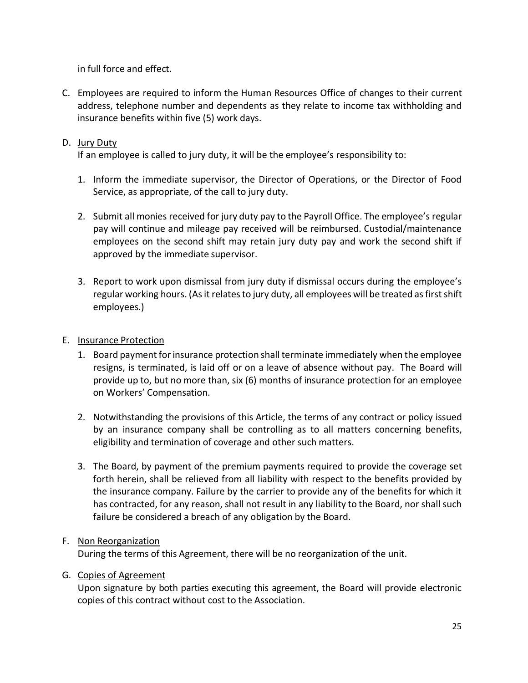in full force and effect.

C. Employees are required to inform the Human Resources Office of changes to their current address, telephone number and dependents as they relate to income tax withholding and insurance benefits within five (5) work days.

## D. Jury Duty

If an employee is called to jury duty, it will be the employee's responsibility to:

- 1. Inform the immediate supervisor, the Director of Operations, or the Director of Food Service, as appropriate, of the call to jury duty.
- 2. Submit all monies received for jury duty pay to the Payroll Office. The employee's regular pay will continue and mileage pay received will be reimbursed. Custodial/maintenance employees on the second shift may retain jury duty pay and work the second shift if approved by the immediate supervisor.
- 3. Report to work upon dismissal from jury duty if dismissal occurs during the employee's regular working hours. (As it relates to jury duty, all employees will be treated as first shift employees.)

## E. Insurance Protection

- 1. Board payment for insurance protection shall terminate immediately when the employee resigns, is terminated, is laid off or on a leave of absence without pay. The Board will provide up to, but no more than, six (6) months of insurance protection for an employee on Workers' Compensation.
- 2. Notwithstanding the provisions of this Article, the terms of any contract or policy issued by an insurance company shall be controlling as to all matters concerning benefits, eligibility and termination of coverage and other such matters.
- 3. The Board, by payment of the premium payments required to provide the coverage set forth herein, shall be relieved from all liability with respect to the benefits provided by the insurance company. Failure by the carrier to provide any of the benefits for which it has contracted, for any reason, shall not result in any liability to the Board, nor shall such failure be considered a breach of any obligation by the Board.

## F. Non Reorganization

During the terms of this Agreement, there will be no reorganization of the unit.

## G. Copies of Agreement

Upon signature by both parties executing this agreement, the Board will provide electronic copies of this contract without cost to the Association.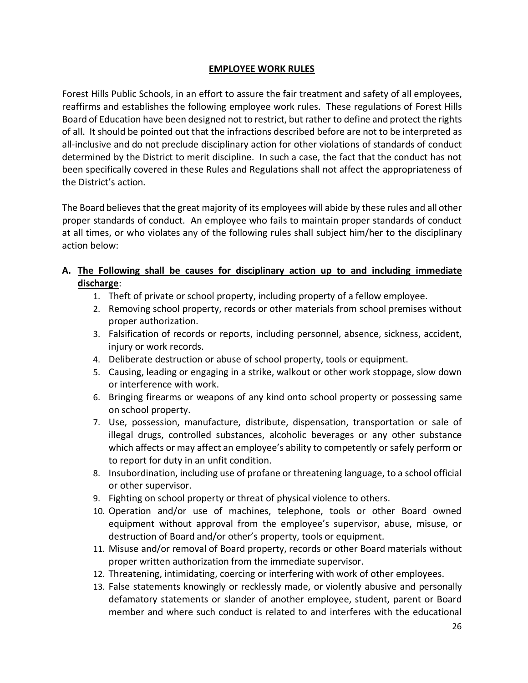## **EMPLOYEE WORK RULES**

<span id="page-28-0"></span>Forest Hills Public Schools, in an effort to assure the fair treatment and safety of all employees, reaffirms and establishes the following employee work rules. These regulations of Forest Hills Board of Education have been designed not to restrict, but rather to define and protect the rights of all. It should be pointed out that the infractions described before are not to be interpreted as all-inclusive and do not preclude disciplinary action for other violations of standards of conduct determined by the District to merit discipline. In such a case, the fact that the conduct has not been specifically covered in these Rules and Regulations shall not affect the appropriateness of the District's action.

The Board believes that the great majority of its employees will abide by these rules and all other proper standards of conduct. An employee who fails to maintain proper standards of conduct at all times, or who violates any of the following rules shall subject him/her to the disciplinary action below:

## **A. The Following shall be causes for disciplinary action up to and including immediate discharge**:

- 1. Theft of private or school property, including property of a fellow employee.
- 2. Removing school property, records or other materials from school premises without proper authorization.
- 3. Falsification of records or reports, including personnel, absence, sickness, accident, injury or work records.
- 4. Deliberate destruction or abuse of school property, tools or equipment.
- 5. Causing, leading or engaging in a strike, walkout or other work stoppage, slow down or interference with work.
- 6. Bringing firearms or weapons of any kind onto school property or possessing same on school property.
- 7. Use, possession, manufacture, distribute, dispensation, transportation or sale of illegal drugs, controlled substances, alcoholic beverages or any other substance which affects or may affect an employee's ability to competently or safely perform or to report for duty in an unfit condition.
- 8. Insubordination, including use of profane or threatening language, to a school official or other supervisor.
- 9. Fighting on school property or threat of physical violence to others.
- 10. Operation and/or use of machines, telephone, tools or other Board owned equipment without approval from the employee's supervisor, abuse, misuse, or destruction of Board and/or other's property, tools or equipment.
- 11. Misuse and/or removal of Board property, records or other Board materials without proper written authorization from the immediate supervisor.
- 12. Threatening, intimidating, coercing or interfering with work of other employees.
- 13. False statements knowingly or recklessly made, or violently abusive and personally defamatory statements or slander of another employee, student, parent or Board member and where such conduct is related to and interferes with the educational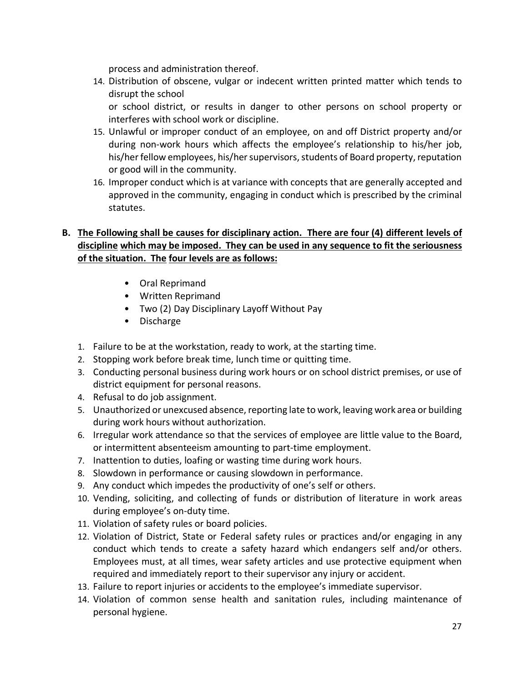process and administration thereof.

14. Distribution of obscene, vulgar or indecent written printed matter which tends to disrupt the school

or school district, or results in danger to other persons on school property or interferes with school work or discipline.

- 15. Unlawful or improper conduct of an employee, on and off District property and/or during non-work hours which affects the employee's relationship to his/her job, his/her fellow employees, his/her supervisors, students of Board property, reputation or good will in the community.
- 16. Improper conduct which is at variance with concepts that are generally accepted and approved in the community, engaging in conduct which is prescribed by the criminal statutes.

## **B. The Following shall be causes for disciplinary action. There are four (4) different levels of discipline which may be imposed. They can be used in any sequence to fit the seriousness of the situation. The four levels are as follows:**

- Oral Reprimand
- Written Reprimand
- Two (2) Day Disciplinary Layoff Without Pay
- Discharge
- 1. Failure to be at the workstation, ready to work, at the starting time.
- 2. Stopping work before break time, lunch time or quitting time.
- 3. Conducting personal business during work hours or on school district premises, or use of district equipment for personal reasons.
- 4. Refusal to do job assignment.
- 5. Unauthorized or unexcused absence, reporting late to work, leaving work area or building during work hours without authorization.
- 6. Irregular work attendance so that the services of employee are little value to the Board, or intermittent absenteeism amounting to part-time employment.
- 7. Inattention to duties, loafing or wasting time during work hours.
- 8. Slowdown in performance or causing slowdown in performance.
- 9. Any conduct which impedes the productivity of one's self or others.
- 10. Vending, soliciting, and collecting of funds or distribution of literature in work areas during employee's on-duty time.
- 11. Violation of safety rules or board policies.
- 12. Violation of District, State or Federal safety rules or practices and/or engaging in any conduct which tends to create a safety hazard which endangers self and/or others. Employees must, at all times, wear safety articles and use protective equipment when required and immediately report to their supervisor any injury or accident.
- 13. Failure to report injuries or accidents to the employee's immediate supervisor.
- 14. Violation of common sense health and sanitation rules, including maintenance of personal hygiene.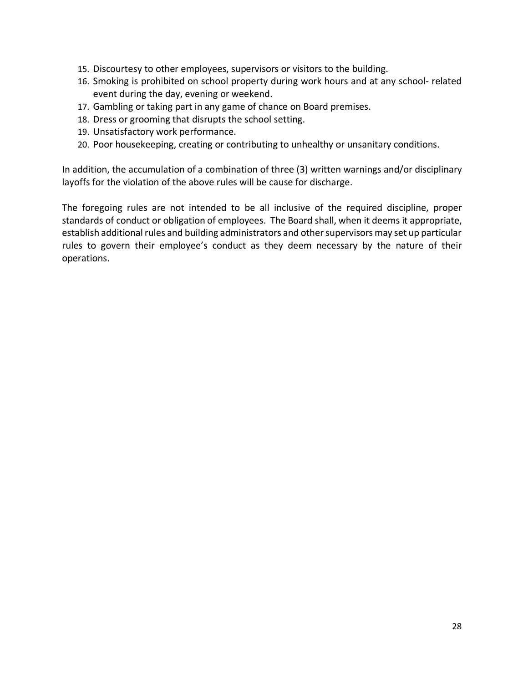- 15. Discourtesy to other employees, supervisors or visitors to the building.
- 16. Smoking is prohibited on school property during work hours and at any school- related event during the day, evening or weekend.
- 17. Gambling or taking part in any game of chance on Board premises.
- 18. Dress or grooming that disrupts the school setting.
- 19. Unsatisfactory work performance.
- 20. Poor housekeeping, creating or contributing to unhealthy or unsanitary conditions.

In addition, the accumulation of a combination of three (3) written warnings and/or disciplinary layoffs for the violation of the above rules will be cause for discharge.

The foregoing rules are not intended to be all inclusive of the required discipline, proper standards of conduct or obligation of employees. The Board shall, when it deems it appropriate, establish additional rules and building administrators and other supervisors may set up particular rules to govern their employee's conduct as they deem necessary by the nature of their operations.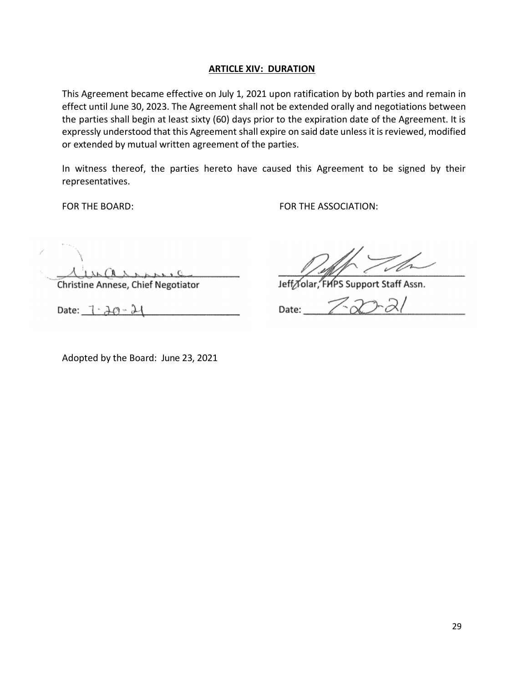#### **ARTICLE XIV: DURATION**

<span id="page-31-0"></span>This Agreement became effective on July 1, 2021 upon ratification by both parties and remain in effect until June 30, 2023. The Agreement shall not be extended orally and negotiations between the parties shall begin at least sixty (60) days prior to the expiration date of the Agreement. It is expressly understood that this Agreement shall expire on said date unless it is reviewed, modified or extended by mutual written agreement of the parties.

In witness thereof, the parties hereto have caused this Agreement to be signed by their representatives.

FOR THE BOARD: FOR THE ASSOCIATION:

Christine Annese, Chief Negotiator Date:  $1 \cdot \lambda \varnothing - \lambda$ 

Jeff Tolar, FHPS Support Staff Assn.

Date:

Adopted by the Board: June 23, 2021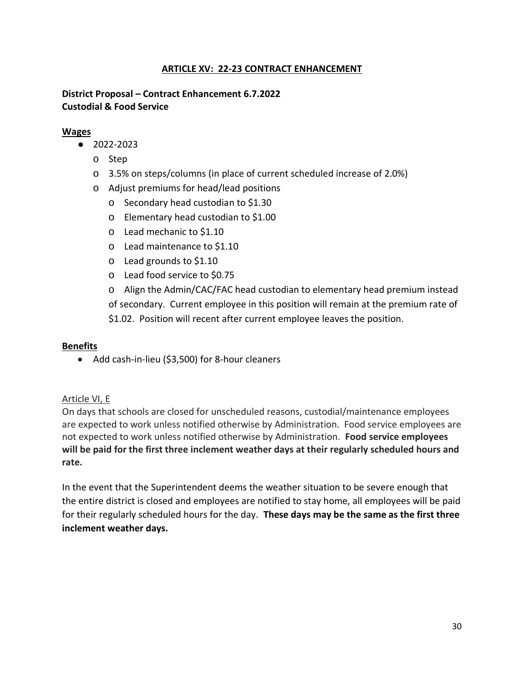## **ARTICLE XV: 22-23 CONTRACT ENHANCEMENT**

## <span id="page-32-0"></span>**District Proposal – Contract Enhancement 6.7.2022 Custodial & Food Service**

#### **Wages**

- 2022-2023
	- o Step
	- o 3.5% on steps/columns (in place of current scheduled increase of 2.0%)
	- o Adjust premiums for head/lead positions
		- o Secondary head custodian to \$1.30
		- o Elementary head custodian to \$1.00
		- o Lead mechanic to \$1.10
		- o Lead maintenance to \$1.10
		- o Lead grounds to \$1.10
		- o Lead food service to \$0.75

o Align the Admin/CAC/FAC head custodian to elementary head premium instead of secondary. Current employee in this position will remain at the premium rate of \$1.02. Position will recent after current employee leaves the position.

#### **Benefits**

• Add cash-in-lieu (\$3,500) for 8-hour cleaners

## Article VI, E

On days that schools are closed for unscheduled reasons, custodial/maintenance employees are expected to work unless notified otherwise by Administration. Food service employees are not expected to work unless notified otherwise by Administration. **Food service employees will be paid for the first three inclement weather days at their regularly scheduled hours and rate.**

In the event that the Superintendent deems the weather situation to be severe enough that the entire district is closed and employees are notified to stay home, all employees will be paid for their regularly scheduled hours for the day. **These days may be the same as the first three inclement weather days.**